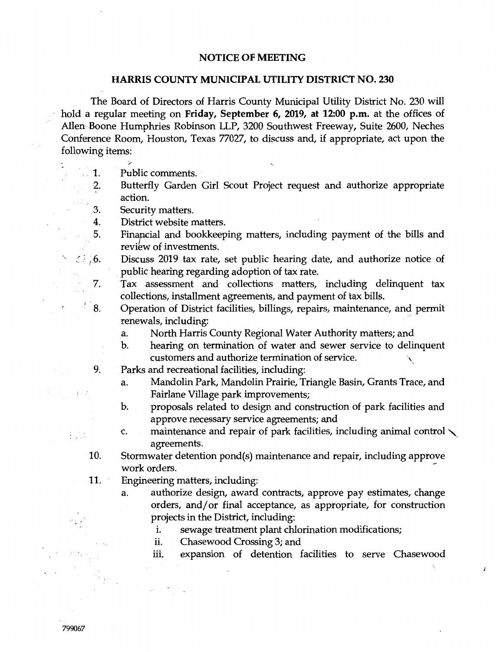## **NOTICE OF MEETING**

## **HARRIS COUNTY MUNICIPAL UTILITY DISTRICT NO. 230**

The Board of Directors of Harris County Municipal Utility District No. 230 will hold a regular meeting on **Friday, September 6, 2019, at 12:00 p.m.** at the offices of Allen Boone Humphries Robinson LLP, 3200 Southwest Freeway, Suite 2600, Neches Conference Room, Houston, Texas 77027, to discuss and, if appropriate, act upon the following items:

- 1. Public comments.
- 2. Butterfly Garden Girl Scout Project request and authorize appropriate action.
- . 3. Security matters.
- 4. District website matters.
- 5. Financial and bookkeeping matters, including payment of the bills and review of investments.

Discuss 2019 tax rate, set public hearing date, and authorize notice of  $\mathcal{L}$   $\mathcal{L}$   $\mathcal{L}$ public hearing regarding adoption of tax rate.

- 7. Tax assessment and collections matters, including delinquent tax collections, installment agreements, and payment of tax bills.
- $^{\prime}$   $\hat{8}$ . Operation of District facilities, billings, repairs, maintenance, and permit renewals, including:
	- a. North Harris County Regional Water Authority matters; and
	- b. hearing on termination of water and sewer service to delinquent customers and authorize termination of service. \
	- 9. Parks and recreational facilities, including:
		- a. Mandolin Park, Mandolin Prairie, Triangle Basin, Grants Trace, and Fairlane Village park improvements;
		- b. proposals related to design and construction of park facilities and approve necessary service agreements; and
		- c. maintenance and repair of park facilities, including animal control  $\setminus$ agreements.
- 10. Stormwater detention pond(s) maintenance and repair, including approve work orders.
- 11. Engineering matters, including:
	- a. authorize design, award contracts, approve pay estimates, change orders, and/or final acceptance, as appropriate, for construction projects in the District, including:
		- i. sewage treatment plant chlorination modifications;
		- ii. Chasewood Crossing 3; and
		- iii. expansion of detention facilities to serve Chasewood

 $\boldsymbol{i}$ 

 $\frac{1}{2}$   $\frac{1}{2}$ 

 $t \in \mathbb{R}^2$ 

 $\frac{1}{2}$  ,  $\frac{1}{2}$  ,  $\frac{1}{2}$